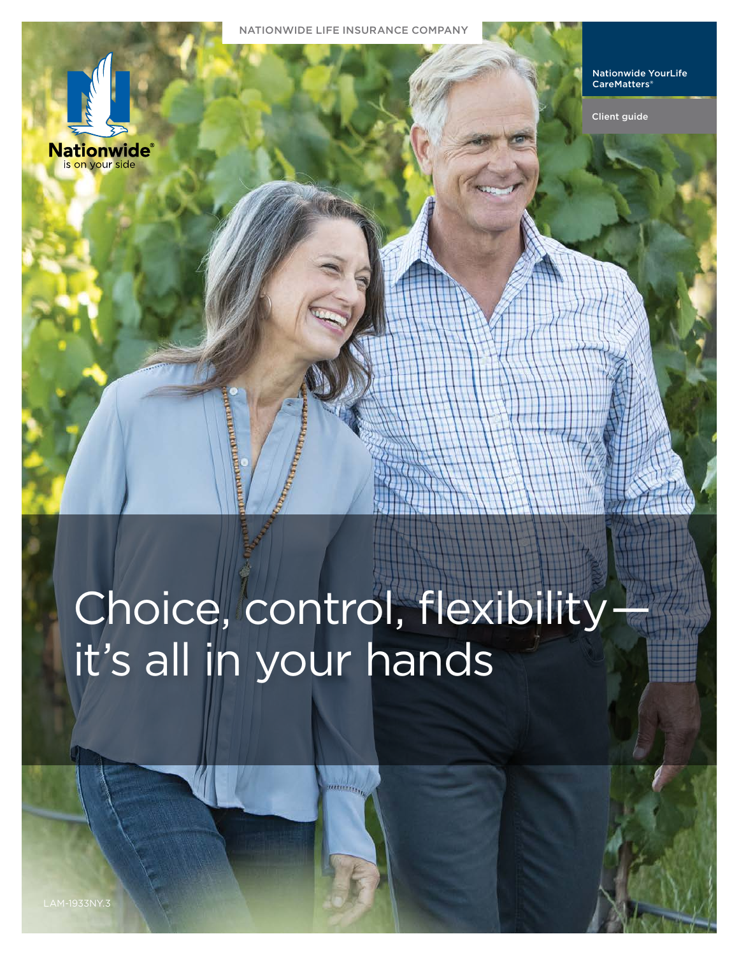



Client guide

# Choice, control, flexibilityit's all in your hands

aatteering<sub>to</sub>

Nationwide is on your

**Nationwide** is on your side

side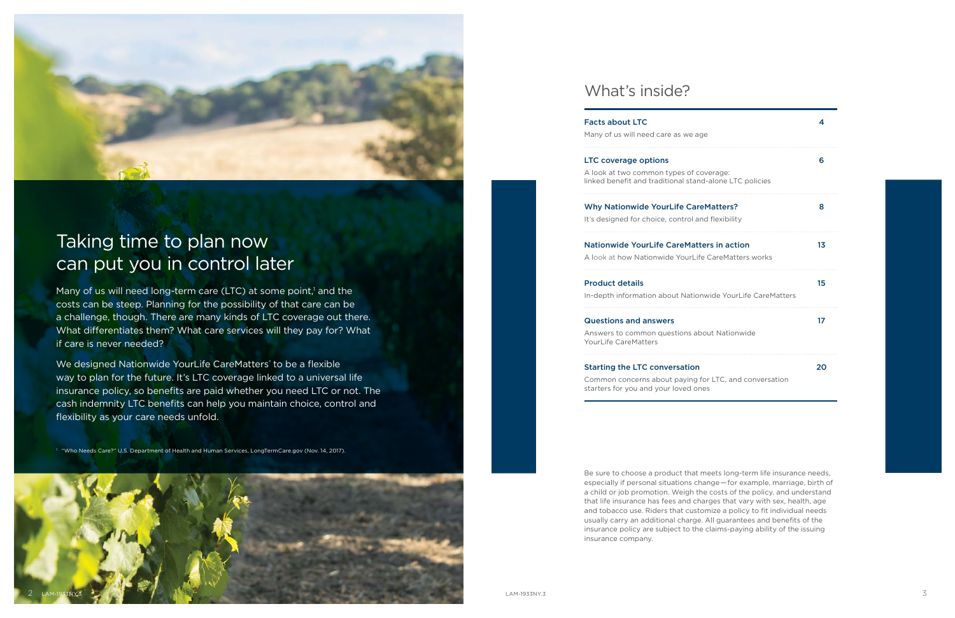



## Taking time to plan now can put you in control later

Many of us will need long-term care (LTC) at some point,<sup>1</sup> and the costs can be steep. Planning for the possibility of that care can be a challenge, though. There are many kinds of LTC coverage out there. What differentiates them? What care services will they pay for? What if care is never needed?

We designed Nationwide YourLife CareMatters<sup>®</sup> to be a flexible way to plan for the future. It's LTC coverage linked to a universal life insurance policy, so benefits are paid whether you need LTC or not. The cash indemnity LTC benefits can help you maintain choice, control and flexibility as your care needs unfold.

Answers to common questions about YourLife CareMatters

<sup>1</sup> "Who Needs Care?" U.S. Department of Health and Human Services, LongTermCare.gov (Nov. 14, 2017).

## What's inside?

### Facts about LTC

Many of us will need care as we ag

#### LTC coverage options

A look at two common types of co linked benefit and traditional stan

## Why Nationwide YourLife Care

It's designed for choice, control an

## Nationwide YourLife CareMatte

A look at how Nationwide YourLife

| ıе                                             | $\overline{\mathbf{A}}$ |
|------------------------------------------------|-------------------------|
| overage:<br>d-alone LTC policies               | 6                       |
| <b>Matters?</b><br>d flexibility               | 8                       |
| ers in action<br>e CareMatters works           | 1 <sub>3</sub>          |
| wide YourLife CareMatters                      | 15                      |
| out Nationwide                                 | 17                      |
| $\mathbf{r}$<br>or LTC, and conversation<br>es | 20                      |



## Product details

In-depth information about Nation

#### Questions and answers

### Starting the LTC conversation

Common concerns about paying for starters for you and your loved one

Be sure to choose a product that meets long-term life insurance needs, especially if personal situations change — for example, marriage, birth of a child or job promotion. Weigh the costs of the policy, and understand that life insurance has fees and charges that vary with sex, health, age and tobacco use. Riders that customize a policy to fit individual needs usually carry an additional charge. All guarantees and benefits of the insurance policy are subject to the claims-paying ability of the issuing insurance company.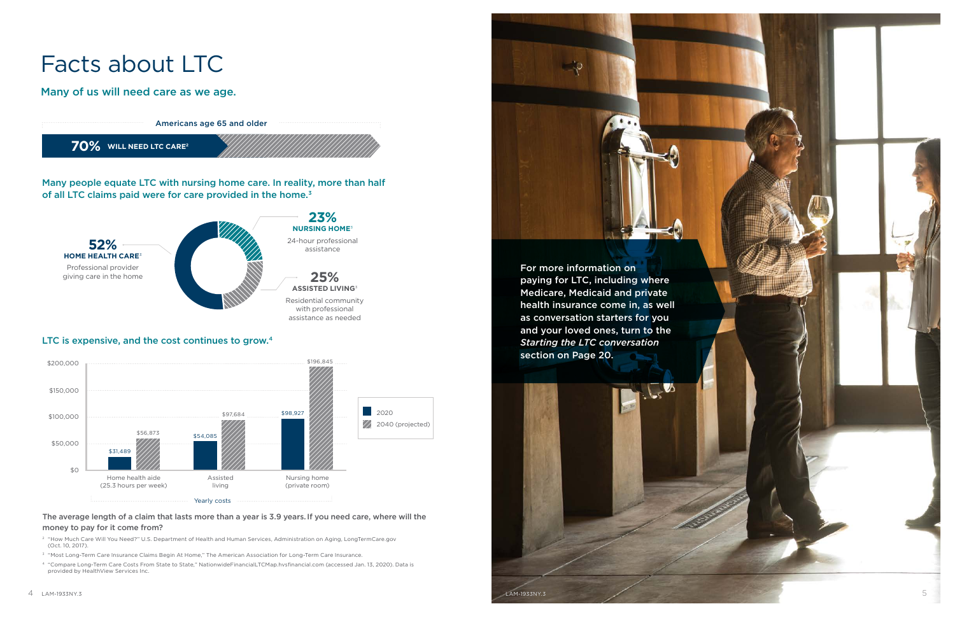# Facts about LTC

Many of us will need care as we age.

Many people equate LTC with nursing home care. In reality, more than half of all LTC claims paid were for care provided in the home.<sup>3</sup>





## LTC is expensive, and the cost continues to grow.4



<span id="page-2-0"></span>



## The average length of a claim that lasts more than a year is 3.9 years.If you need care, where will the money to pay for it come from?

- <sup>2</sup> "How Much Care Will You Need?" U.S. Department of Health and Human Services, Administration on Aging, LongTermCare.gov (Oct. 10, 2017).
- <sup>3</sup> "Most Long-Term Care Insurance Claims Begin At Home," The American Association for Long-Term Care Insurance.
- <sup>4</sup> "Compare Long-Term Care Costs From State to State," NationwideFinancialLTCMap.hvsfinancial.com (accessed Jan. 13, 2020). Data is provided by HealthView Services Inc.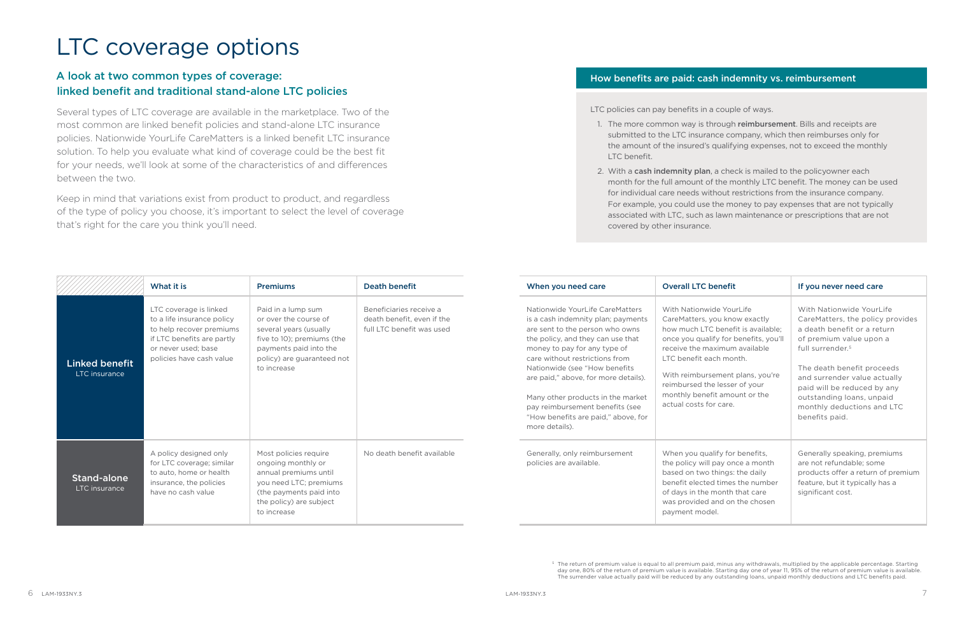## <span id="page-3-0"></span>LTC coverage options

## A look at two common types of coverage: linked benefit and traditional stand-alone LTC policies

Several types of LTC coverage are available in the marketplace. Two of the most common are linked benefit policies and stand-alone LTC insurance policies. Nationwide YourLife CareMatters is a linked benefit LTC insurance solution. To help you evaluate what kind of coverage could be the best fit for your needs, we'll look at some of the characteristics of and differences between the two.

Keep in mind that variations exist from product to product, and regardless of the type of policy you choose, it's important to select the level of coverage that's right for the care you think you'll need.

1. The more common way is through reimbursement. Bills and receipts are submitted to the LTC insurance company, which then reimburses only for the amount of the insured's qualifying expenses, not to exceed the monthly

2. With a cash indemnity plan, a check is mailed to the policyowner each month for the full amount of the monthly LTC benefit. The money can be used for individual care needs without restrictions from the insurance company. For example, you could use the money to pay expenses that are not typically associated with LTC, such as lawn maintenance or prescriptions that are not

|                                        | What it is                                                                                                                                                        | <b>Premiums</b>                                                                                                                                                            | <b>Death benefit</b>                                                               | When you need care                                                                                                                                                                                                                                                                                                                                                                                                        | <b>Overall LTC benefit</b>                                                                                                                                                                                                                                                                                                           | If you never need care                                                                                                                                                                                                                                                                                                           |
|----------------------------------------|-------------------------------------------------------------------------------------------------------------------------------------------------------------------|----------------------------------------------------------------------------------------------------------------------------------------------------------------------------|------------------------------------------------------------------------------------|---------------------------------------------------------------------------------------------------------------------------------------------------------------------------------------------------------------------------------------------------------------------------------------------------------------------------------------------------------------------------------------------------------------------------|--------------------------------------------------------------------------------------------------------------------------------------------------------------------------------------------------------------------------------------------------------------------------------------------------------------------------------------|----------------------------------------------------------------------------------------------------------------------------------------------------------------------------------------------------------------------------------------------------------------------------------------------------------------------------------|
| <b>Linked benefit</b><br>LTC insurance | LTC coverage is linked<br>to a life insurance policy<br>to help recover premiums<br>if LTC benefits are partly<br>or never used: base<br>policies have cash value | Paid in a lump sum<br>or over the course of<br>several years (usually<br>five to 10); premiums (the<br>payments paid into the<br>policy) are guaranteed not<br>to increase | Beneficiaries receive a<br>death benefit, even if the<br>full LTC benefit was used | Nationwide YourLife CareMatters<br>is a cash indemnity plan; payments<br>are sent to the person who owns<br>the policy, and they can use that<br>money to pay for any type of<br>care without restrictions from<br>Nationwide (see "How benefits<br>are paid," above, for more details).<br>Many other products in the market<br>pay reimbursement benefits (see<br>"How benefits are paid," above, for<br>more details). | With Nationwide YourLife<br>CareMatters, you know exactly<br>how much LTC benefit is available;<br>once you qualify for benefits, you'll<br>receive the maximum available<br>LTC benefit each month.<br>With reimbursement plans, you're<br>reimbursed the lesser of your<br>monthly benefit amount or the<br>actual costs for care. | With Nationwide YourLife<br>CareMatters, the policy provides<br>a death benefit or a return<br>of premium value upon a<br>full surrender. <sup>5</sup><br>The death benefit proceeds<br>and surrender value actually<br>paid will be reduced by any<br>outstanding loans, unpaid<br>monthly deductions and LTC<br>benefits paid. |
| <b>Stand-alone</b><br>LTC insurance    | A policy designed only<br>for LTC coverage; similar<br>to auto, home or health<br>insurance, the policies<br>have no cash value                                   | Most policies require<br>ongoing monthly or<br>annual premiums until<br>you need LTC; premiums<br>(the payments paid into<br>the policy) are subject<br>to increase        | No death benefit available                                                         | Generally, only reimbursement<br>policies are available.                                                                                                                                                                                                                                                                                                                                                                  | When you qualify for benefits,<br>the policy will pay once a month<br>based on two things: the daily<br>benefit elected times the number<br>of days in the month that care<br>was provided and on the chosen<br>payment model.                                                                                                       | Generally speaking, premiums<br>are not refundable: some<br>products offer a return of premium<br>feature, but it typically has a<br>significant cost.                                                                                                                                                                           |

<span id="page-3-1"></span><sup>5</sup> The return of premium value is equal to all premium paid, minus any withdrawals, multiplied by the applicable percentage. Starting day one, 80% of the return of premium value is available. Starting day one of year 11, 95% of the return of premium value is available. The surrender value actually paid will be reduced by any outstanding loans, unpaid monthly deductions and LTC benefits paid.

## How benefits are paid: cash indemnity vs. reimbursement

LTC policies can pay benefits in a couple of ways.

- LTC benefit.
- covered by other insurance.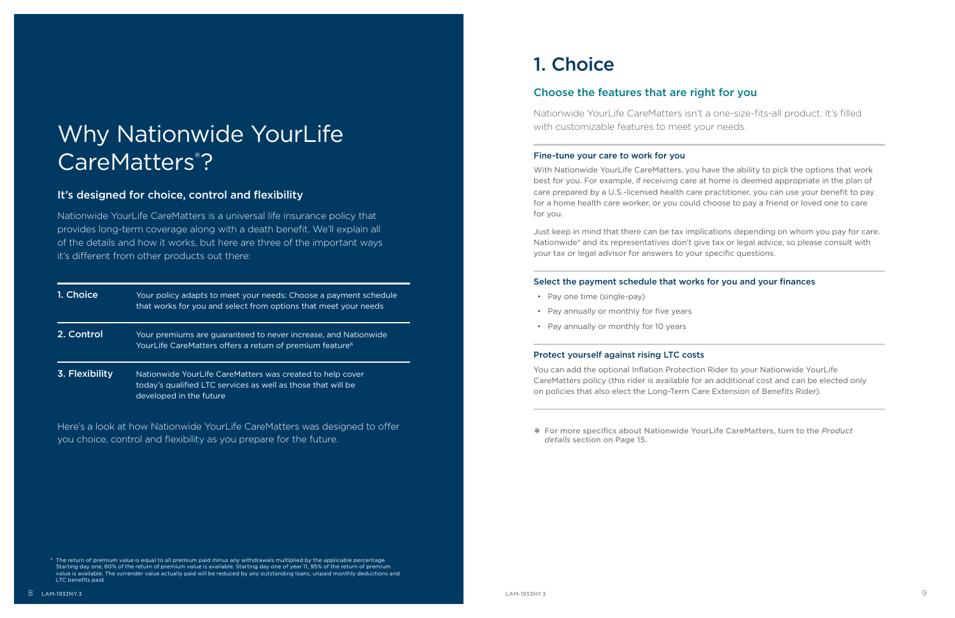## <span id="page-4-0"></span>Why Nationwide YourLife CareMatters<sup>®</sup>?

## It's designed for choice, control and flexibility

Nationwide YourLife CareMatters is a universal life insurance policy that provides long-term coverage along with a death benefit. We'll explain all of the details and how it works, but here are three of the important ways it's different from other products out there:

| 1. Choice      | Your policy adapts to meet your needs: Choose a payment schedule<br>that works for you and select from options that meet your needs                  |
|----------------|------------------------------------------------------------------------------------------------------------------------------------------------------|
| 2. Control     | Your premiums are guaranteed to never increase, and Nationwide<br>YourLife CareMatters offers a return of premium feature <sup>6</sup>               |
| 3. Flexibility | Nationwide YourLife CareMatters was created to help cover<br>today's qualified LTC services as well as those that will be<br>developed in the future |

Here's a look at how Nationwide YourLife CareMatters was designed to offer you choice, control and flexibility as you prepare for the future.

## 1. Choice

## Choose the features that are right for you

Nationwide YourLife CareMatters isn't a one-size-fits-all product. It's filled with customizable features to meet your needs.

## Fine-tune your care to work for you

With Nationwide YourLife CareMatters, you have the ability to pick the options that work best for you. For example, if receiving care at home is deemed appropriate in the plan of care prepared by a U.S.-licensed health care practitioner, you can use your benefit to pay for a home health care worker, or you could choose to pay a friend or loved one to care for you.

Just keep in mind that there can be tax implications depending on whom you pay for care. Nationwide® and its representatives don't give tax or legal advice, so please consult with your tax or legal advisor for answers to your specific questions.

## Select the payment schedule that works for you and your finances

- Pay one time (single-pay)
- Pay annually or monthly for five years
- Pay annually or monthly for 10 years

## Protect yourself against rising LTC costs

You can add the optional Inflation Protection Rider to your Nationwide YourLife CareMatters policy (this rider is available for an additional cost and can be elected only on policies that also elect the Long-Term Care Extension of Benefits Rider).

<span id="page-4-1"></span> $^{\circ}$  The return of premium value is equal to all premium paid minus any withdrawals multiplied by the applicable percentage. Starting day one, 80% of the return of premium value is available. Starting day one of year 11, 95% of the return of premium value is available. The surrender value actually paid will be reduced by any outstanding loans, unpaid monthly deductions and LTC benefits paid.

For more specifics about Nationwide YourLife CareMatters, turn to the *Product details* section on [Page 15.](#page-7-0)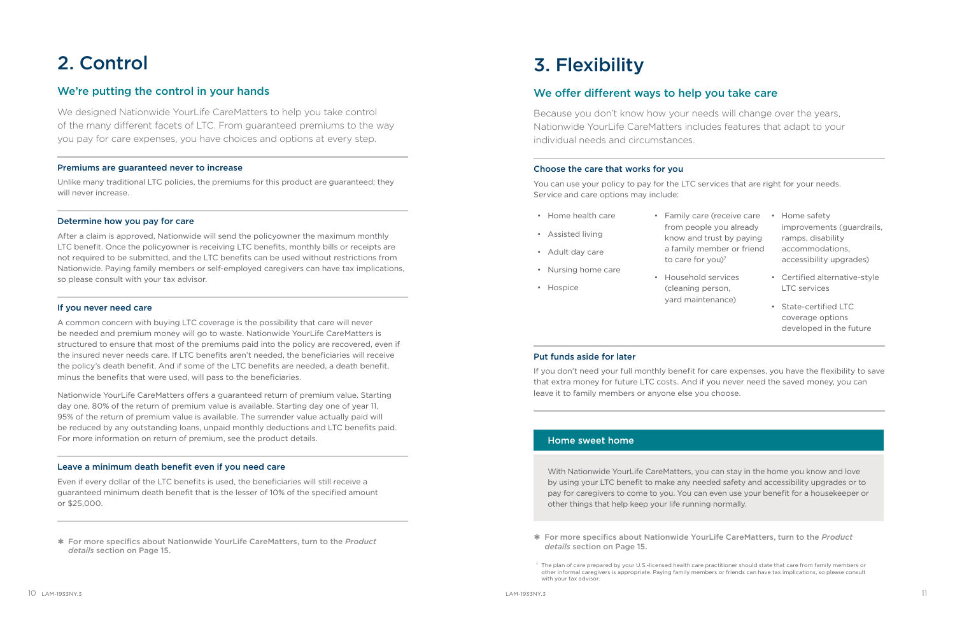## 2. Control

## We're putting the control in your hands

We designed Nationwide YourLife CareMatters to help you take control of the many different facets of LTC. From guaranteed premiums to the way you pay for care expenses, you have choices and options at every step.

### Premiums are guaranteed never to increase

Unlike many traditional LTC policies, the premiums for this product are guaranteed; they will never increase.

### Determine how you pay for care

After a claim is approved, Nationwide will send the policyowner the maximum monthly LTC benefit. Once the policyowner is receiving LTC benefits, monthly bills or receipts are not required to be submitted, and the LTC benefits can be used without restrictions from Nationwide. Paying family members or self-employed caregivers can have tax implications, so please consult with your tax advisor.

### If you never need care

A common concern with buying LTC coverage is the possibility that care will never be needed and premium money will go to waste. Nationwide YourLife CareMatters is structured to ensure that most of the premiums paid into the policy are recovered, even if the insured never needs care. If LTC benefits aren't needed, the beneficiaries will receive the policy's death benefit. And if some of the LTC benefits are needed, a death benefit, minus the benefits that were used, will pass to the beneficiaries.

to care for you)<sup>7</sup> • Household services (cleaning person, yard maintenance)

Nationwide YourLife CareMatters offers a guaranteed return of premium value. Starting day one, 80% of the return of premium value is available. Starting day one of year 11, 95% of the return of premium value is available. The surrender value actually paid will be reduced by any outstanding loans, unpaid monthly deductions and LTC benefits paid. For more information on return of premium, see the product details.

### Leave a minimum death benefit even if you need care

Even if every dollar of the LTC benefits is used, the beneficiaries will still receive a guaranteed minimum death benefit that is the lesser of 10% of the specified amount or \$25,000.

 For more specifics about Nationwide YourLife CareMatters, turn to the *Product details* section on [Page 15](#page-7-0).

## 3. Flexibility

## We offer different ways to help you take care

Because you don't know how your needs will change over the years, Nationwide YourLife CareMatters includes features that adapt to your individual needs and circumstances.

### Choose the care that works for you

You can use your policy to pay for the LTC services that are right for your needs. Service and care options may include:

- Home health care
- Assisted living
- Adult day care
- Nursing home care
- Hospice
- Family care (receive care from people you already know and trust by paying a family member or friend
- Home safety improvements (guardrails, ramps, disability accommodations, accessibility upgrades)
- Certified alternative-style LTC services
- State-certified LTC coverage options developed in the future

### Put funds aside for later

If you don't need your full monthly benefit for care expenses, you have the flexibility to save that extra money for future LTC costs. And if you never need the saved money, you can leave it to family members or anyone else you choose.

## Home sweet home

With Nationwide YourLife CareMatters, you can stay in the home you know and love by using your LTC benefit to make any needed safety and accessibility upgrades or to pay for caregivers to come to you. You can even use your benefit for a housekeeper or other things that help keep your life running normally.

 For more specifics about Nationwide YourLife CareMatters, turn to the *Product details* section on [Page 15.](#page-7-0)

other informal caregivers is appropriate. Paying family members or friends can have tax implications, so please consult

<span id="page-5-0"></span><sup>7</sup> The plan of care prepared by your U.S.-licensed health care practitioner should state that care from family members or with your tax advisor.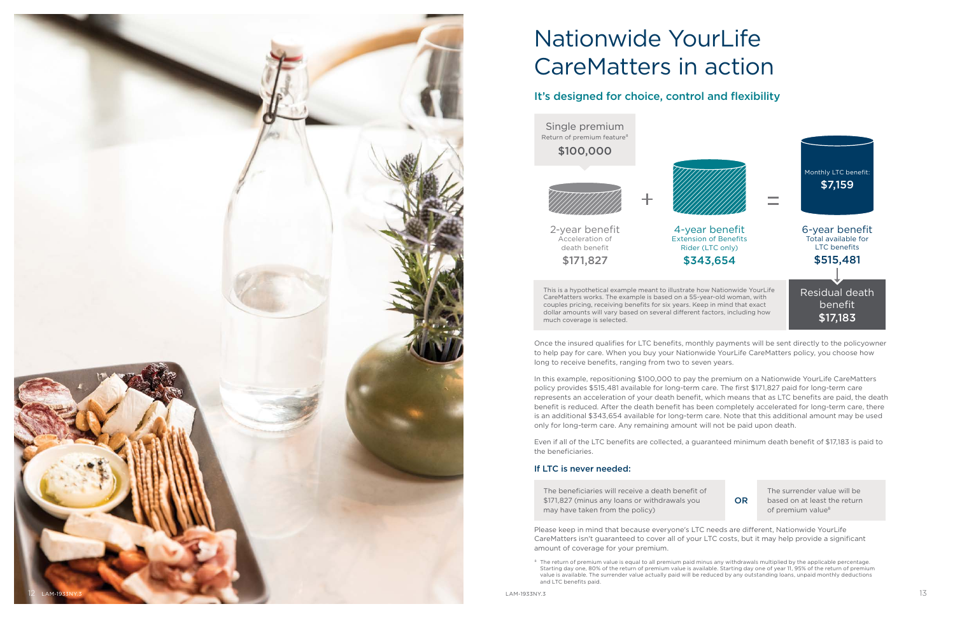<span id="page-6-0"></span>

# Nationwide YourLife CareMatters in action

## It's designed for choice, control and flexibility

Single premium Return of premium feature 8 \$100,000





2-year benefit Acceleration of death benefit \$171,827



This is a hypothetical example meant to illustrate how Nationwide YourLife CareMatters works. The example is based on a 55-year-old woman, with couples pricing, receiving benefits for six years. Keep in mind that exact dollar amounts will vary based on several different factors, including how much coverage is selected.

Once the insured qualifies for LTC benefits, monthly payments will be sent directly to the policyowner to help pay for care. When you buy your Nationwide YourLife CareMatters policy, you choose how long to receive benefits, ranging from two to seven years.

<span id="page-6-1"></span><sup>8</sup> The return of premium value is equal to all premium paid minus any withdrawals multiplied by the applicable percentage. Starting day one, 80% of the return of premium value is available. Starting day one of year 11, 95% of the return of premium value is available. The surrender value actually paid will be reduced by any outstanding loans, unpaid monthly deductions and LTC benefits paid.

In this example, repositioning \$100,000 to pay the premium on a Nationwide YourLife CareMatters policy provides \$515,481 available for long-term care. The first \$171,827 paid for long-term care represents an acceleration of your death benefit, which means that as LTC benefits are paid, the death benefit is reduced. After the death benefit has been completely accelerated for long-term care, there is an additional \$343,654 available for long-term care. Note that this additional amount may be used only for long-term care. Any remaining amount will not be paid upon death.

Even if all of the LTC benefits are collected, a guaranteed minimum death benefit of \$17,183 is paid to the beneficiaries.

## If LTC is never needed:

The beneficiaries will receive a death benefit of \$171,827 (minus any loans or withdrawals you may have taken from the policy)



The surrender value will be based on at least the return of premium value [8](#page-6-1)

Please keep in mind that because everyone's LTC needs are different, Nationwide YourLife CareMatters isn't guaranteed to cover all of your LTC costs, but it may help provide a significant amount of coverage for your premium.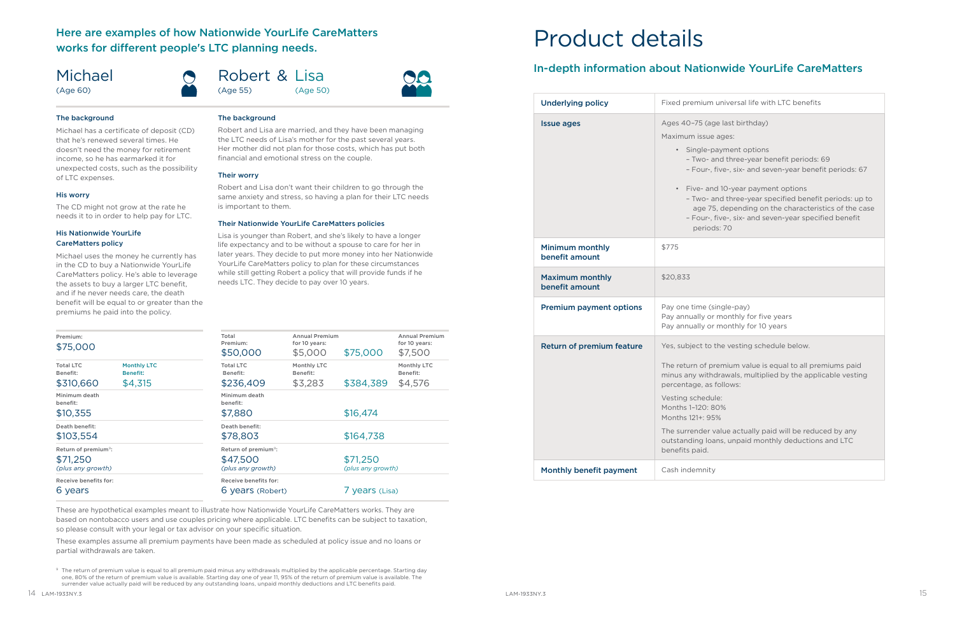## <span id="page-7-0"></span>Here are examples of how Nationwide YourLife CareMatters works for different people's LTC planning needs.

## Michael

(Age 60)

Robert & Lisa (Age 55) (Age 50)

#### The background

Michael has a certificate of deposit (CD) that he's renewed several times. He doesn't need the money for retirement income, so he has earmarked it for unexpected costs, such as the possibility of LTC expenses.

#### His worry

The CD might not grow at the rate he needs it to in order to help pay for LTC.

#### His Nationwide YourLife CareMatters policy

Michael uses the money he currently has in the CD to buy a Nationwide YourLife CareMatters policy. He's able to leverage the assets to buy a larger LTC benefit, and if he never needs care, the death benefit will be equal to or greater than the premiums he paid into the policy.

### The background

Robert and Lisa are married, and they have been managing the LTC needs of Lisa's mother for the past several years. Her mother did not plan for those costs, which has put both financial and emotional stress on the couple.

#### Their worry

Robert and Lisa don't want their children to go through the same anxiety and stress, so having a plan for their LTC needs is important to them.

#### Their Nationwide YourLife CareMatters policies

Lisa is younger than Robert, and she's likely to have a longer life expectancy and to be without a spouse to care for her in later years. They decide to put more money into her Nationwide YourLife CareMatters policy to plan for these circumstances while still getting Robert a policy that will provide funds if he needs LTC. They decide to pay over 10 years.

<span id="page-7-1"></span><sup>9</sup> The return of premium value is equal to all premium paid minus any withdrawals multiplied by the applicable percentage. Starting day one, 80% of the return of premium value is available. Starting day one of year 11, 95% of the return of premium value is available. The surrender value actually paid will be reduced by any outstanding loans, unpaid monthly deductions and LTC benefits paid.

um universal life with LTC benefits

(age last birthday)

sue ages:

e-payment options  $\alpha$ - and three-year benefit periods: 69 Ir-, five-, six- and seven-year benefit periods: 67

and 10-year payment options  $\alpha$ - and three-year specified benefit periods: up to age 75, depending on the characteristics of the case Ir-, five-, six- and seven-year specified benefit iods: 70

e (single-pay) or monthly for five years or monthly for 10 years

to the vesting schedule below.

f premium value is equal to all premiums paid ithdrawals, multiplied by the applicable vesting as follows:

dule:  $0:80%$ 95%

er value actually paid will be reduced by any loans, unpaid monthly deductions and LTC

| Premium:<br>\$75,000                                              |                                                  | Total<br>Premium:<br>\$50,000                                     | <b>Annual Premium</b><br>for 10 years:<br>\$5,000 | \$75,000                      | <b>Annual Premium</b><br>for 10 years:<br>\$7,500 |  |
|-------------------------------------------------------------------|--------------------------------------------------|-------------------------------------------------------------------|---------------------------------------------------|-------------------------------|---------------------------------------------------|--|
| <b>Total LTC</b><br>Benefit:<br>\$310,660                         | <b>Monthly LTC</b><br><b>Benefit:</b><br>\$4,315 | <b>Total LTC</b><br>Benefit:<br>\$236,409                         | Monthly LTC<br>Benefit:<br>\$3,283                | \$384,389                     | Monthly LTC<br>Benefit:<br>\$4,576                |  |
| Minimum death<br>benefit:<br>\$10,355                             |                                                  | Minimum death<br>benefit:<br>\$7,880                              |                                                   | \$16,474                      |                                                   |  |
| Death benefit:<br>\$103,554                                       |                                                  | Death benefit:<br>\$78,803                                        |                                                   | \$164,738                     |                                                   |  |
| Return of premium <sup>9</sup> :<br>\$71,250<br>(plus any growth) |                                                  | Return of premium <sup>9</sup> :<br>\$47,500<br>(plus any growth) |                                                   | \$71,250<br>(plus any growth) |                                                   |  |
| Receive benefits for:<br>6 years                                  |                                                  | Receive benefits for:                                             | 6 years (Robert)                                  |                               | 7 years (Lisa)                                    |  |

These are hypothetical examples meant to illustrate how Nationwide YourLife CareMatters works. They are based on nontobacco users and use couples pricing where applicable. LTC benefits can be subject to taxation, so please consult with your legal or tax advisor on your specific situation.

These examples assume all premium payments have been made as scheduled at policy issue and no loans or partial withdrawals are taken.

## Product details

## In-depth information about Nationwide YourLife CareMatters

| <b>Underlying policy</b>                 | Fixed premium                                                                                                                                                            |  |
|------------------------------------------|--------------------------------------------------------------------------------------------------------------------------------------------------------------------------|--|
| <b>Issue ages</b>                        | Ages 40-75 (ag<br>Maximum issue<br>Single-p<br>- Two- a<br>$-$ Four-, 1<br>Five- and<br>- Two- a<br>age 75<br>- Four-, f<br>period                                       |  |
| <b>Minimum monthly</b><br>benefit amount | \$775                                                                                                                                                                    |  |
| <b>Maximum monthly</b><br>benefit amount | \$20,833                                                                                                                                                                 |  |
| <b>Premium payment options</b>           | Pay one time (s)<br>Pay annually or<br>Pay annually or                                                                                                                   |  |
| <b>Return of premium feature</b>         | Yes, subject to t                                                                                                                                                        |  |
|                                          | The return of pr<br>minus any witho<br>percentage, as t<br>Vesting schedul<br>Months 1-120: 8<br>Months 121+: 95<br>The surrender v<br>outstanding loa<br>benefits paid. |  |
| Monthly benefit payment                  | Cash indemnity                                                                                                                                                           |  |
|                                          |                                                                                                                                                                          |  |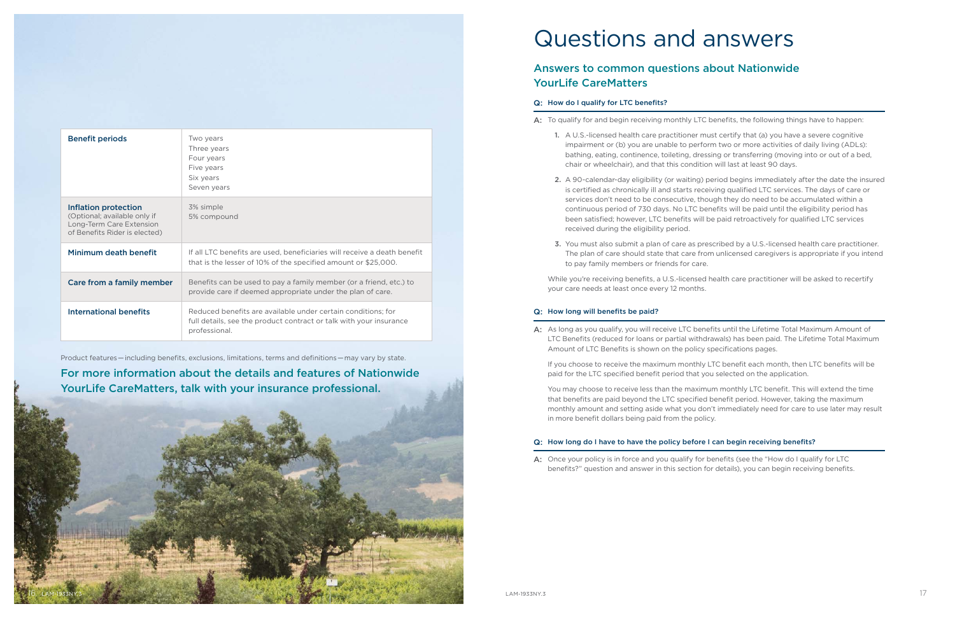<span id="page-8-0"></span>

| <b>Benefit periods</b>                                                                                            | Two years<br>Three years<br>Four years<br>Five years<br>Six years<br>Seven years                                                                    |  |
|-------------------------------------------------------------------------------------------------------------------|-----------------------------------------------------------------------------------------------------------------------------------------------------|--|
| Inflation protection<br>(Optional; available only if<br>Long-Term Care Extension<br>of Benefits Rider is elected) | 3% simple<br>5% compound                                                                                                                            |  |
| Minimum death benefit                                                                                             | If all LTC benefits are used, beneficiaries will receive a death benefit<br>that is the lesser of 10% of the specified amount or \$25,000.          |  |
| Care from a family member                                                                                         | Benefits can be used to pay a family member (or a friend, etc.) to<br>provide care if deemed appropriate under the plan of care.                    |  |
| International benefits                                                                                            | Reduced benefits are available under certain conditions; for<br>full details, see the product contract or talk with your insurance<br>professional. |  |



Product features — including benefits, exclusions, limitations, terms and definitions — may vary by state.

## For more information about the details and features of Nationwide YourLife CareMatters, talk with your insurance professional.

## Questions and answers

## Answers to common questions about Nationwide YourLife CareMatters

## Q: How do I qualify for LTC benefits?

While you're receiving benefits, a U.S.-licensed health care practitioner will be asked to recertify your care needs at least once every 12 months.

1. A U.S.-licensed health care practitioner must certify that (a) you have a severe cognitive impairment or (b) you are unable to perform two or more activities of daily living (ADLs): bathing, eating, continence, toileting, dressing or transferring (moving into or out of a bed,

- A: To qualify for and begin receiving monthly LTC benefits, the following things have to happen:
	- chair or wheelchair), and that this condition will last at least 90 days.
	- received during the eligibility period.
	- to pay family members or friends for care.

2. A 90-calendar-day eligibility (or waiting) period begins immediately after the date the insured is certified as chronically ill and starts receiving qualified LTC services. The days of care or services don't need to be consecutive, though they do need to be accumulated within a continuous period of 730 days. No LTC benefits will be paid until the eligibility period has been satisfied; however, LTC benefits will be paid retroactively for qualified LTC services

3. You must also submit a plan of care as prescribed by a U.S.-licensed health care practitioner. The plan of care should state that care from unlicensed caregivers is appropriate if you intend

### Q: How long will benefits be paid?

A: As long as you qualify, you will receive LTC benefits until the Lifetime Total Maximum Amount of LTC Benefits (reduced for loans or partial withdrawals) has been paid. The Lifetime Total Maximum

Amount of LTC Benefits is shown on the policy specifications pages.

If you choose to receive the maximum monthly LTC benefit each month, then LTC benefits will be paid for the LTC specified benefit period that you selected on the application.

You may choose to receive less than the maximum monthly LTC benefit. This will extend the time that benefits are paid beyond the LTC specified benefit period. However, taking the maximum monthly amount and setting aside what you don't immediately need for care to use later may result in more benefit dollars being paid from the policy.

## Q: How long do I have to have the policy before I can begin receiving benefits?

A: Once your policy is in force and you qualify for benefits (see the "How do I qualify for LTC benefits?" question and answer in this section for details), you can begin receiving benefits.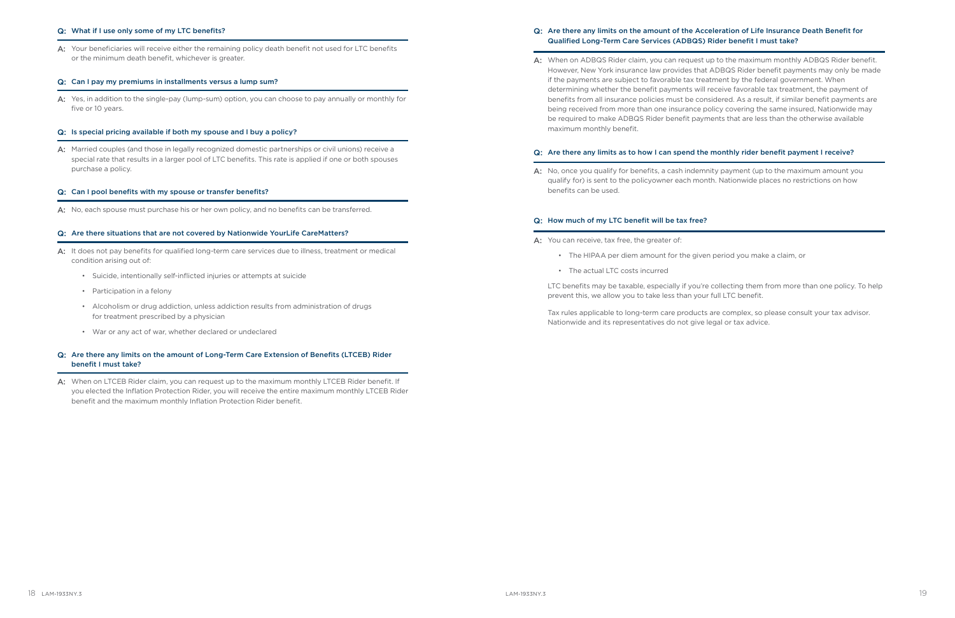#### Q: What if I use only some of my LTC benefits?

A: Your beneficiaries will receive either the remaining policy death benefit not used for LTC benefits or the minimum death benefit, whichever is greater.

#### Q: Can I pay my premiums in installments versus a lump sum?

A: Yes, in addition to the single-pay (lump-sum) option, you can choose to pay annually or monthly for five or 10 years.

A: Married couples (and those in legally recognized domestic partnerships or civil unions) receive a special rate that results in a larger pool of LTC benefits. This rate is applied if one or both spouses purchase a policy.

#### Q: Is special pricing available if both my spouse and I buy a policy?

#### Q: Can I pool benefits with my spouse or transfer benefits?

A: No, each spouse must purchase his or her own policy, and no benefits can be transferred.

A: When on LTCEB Rider claim, you can request up to the maximum monthly LTCEB Rider benefit. If you elected the Inflation Protection Rider, you will receive the entire maximum monthly LTCEB Rider benefit and the maximum monthly Inflation Protection Rider benefit.

#### Q: Are there situations that are not covered by Nationwide YourLife CareMatters?

- A: It does not pay benefits for qualified long-term care services due to illness, treatment or medical condition arising out of:
	- Suicide, intentionally self-inflicted injuries or attempts at suicide
	- Participation in a felony
	- Alcoholism or drug addiction, unless addiction results from administration of drugs for treatment prescribed by a physician
	- War or any act of war, whether declared or undeclared

A: When on ADBQS Rider claim, you can request up to the maximum monthly ADBQS Rider benefit. However, New York insurance law provides that ADBQS Rider benefit payments may only be made determining whether the benefit payments will receive favorable tax treatment, the payment of benefits from all insurance policies must be considered. As a result, if similar benefit payments are being received from more than one insurance policy covering the same insured, Nationwide may be required to make ADBQS Rider benefit payments that are less than the otherwise available

### Q: Are there any limits on the amount of Long-Term Care Extension of Benefits (LTCEB) Rider benefit I must take?

A: No, once you qualify for benefits, a cash indemnity payment (up to the maximum amount you qualify for) is sent to the policyowner each month. Nationwide places no restrictions on how

LTC benefits may be taxable, especially if you're collecting them from more than one policy. To help prevent this, we allow you to take less than your full LTC benefit.

### Q: Are there any limits on the amount of the Acceleration of Life Insurance Death Benefit for Qualified Long-Term Care Services (ADBQS) Rider benefit I must take?

if the payments are subject to favorable tax treatment by the federal government. When maximum monthly benefit.

## Q: Are there any limits as to how I can spend the monthly rider benefit payment I receive?

benefits can be used.

#### Q: How much of my LTC benefit will be tax free?

A: You can receive, tax free, the greater of:

- The HIPAA per diem amount for the given period you make a claim, or
- The actual LTC costs incurred

Tax rules applicable to long-term care products are complex, so please consult your tax advisor. Nationwide and its representatives do not give legal or tax advice.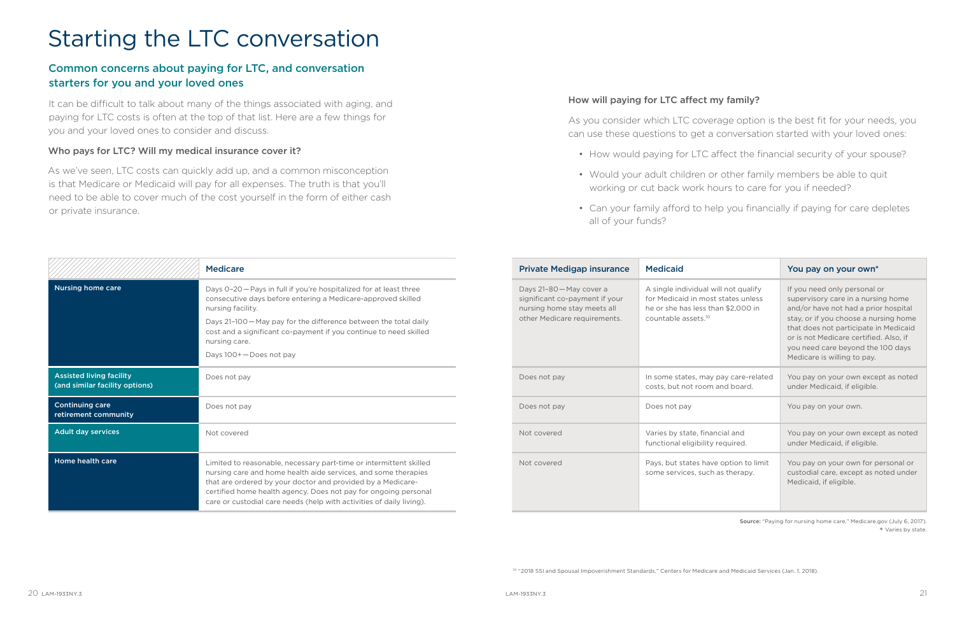# <span id="page-10-0"></span>Starting the LTC conversation

## Common concerns about paying for LTC, and conversation starters for you and your loved ones

It can be difficult to talk about many of the things associated with aging, and paying for LTC costs is often at the top of that list. Here are a few things for you and your loved ones to consider and discuss.

## Who pays for LTC? Will my medical insurance cover it?

As we've seen, LTC costs can quickly add up, and a common misconception is that Medicare or Medicaid will pay for all expenses. The truth is that you'll need to be able to cover much of the cost yourself in the form of either cash or private insurance.

|                                                                   | <b>Medicare</b>                                                                                                                                                                                                                                                                                                                                | <b>Private Medigap insurance</b>                                                                                          | <b>Medicaid</b>                                                                                                                                     | You pay on your own*                                                                                                                                                                                                                                                                                       |
|-------------------------------------------------------------------|------------------------------------------------------------------------------------------------------------------------------------------------------------------------------------------------------------------------------------------------------------------------------------------------------------------------------------------------|---------------------------------------------------------------------------------------------------------------------------|-----------------------------------------------------------------------------------------------------------------------------------------------------|------------------------------------------------------------------------------------------------------------------------------------------------------------------------------------------------------------------------------------------------------------------------------------------------------------|
| <b>Nursing home care</b>                                          | Days 0-20 - Pays in full if you're hospitalized for at least three<br>consecutive days before entering a Medicare-approved skilled<br>nursing facility.<br>Days 21-100 - May pay for the difference between the total daily<br>cost and a significant co-payment if you continue to need skilled<br>nursing care.<br>Days 100+ - Does not pay  | Days 21-80 - May cover a<br>significant co-payment if your<br>nursing home stay meets all<br>other Medicare requirements. | A single individual will not qualify<br>for Medicaid in most states unless<br>he or she has less than \$2,000 in<br>countable assets. <sup>10</sup> | If you need only personal or<br>supervisory care in a nursing home<br>and/or have not had a prior hospital<br>stay, or if you choose a nursing home<br>that does not participate in Medicaid<br>or is not Medicare certified. Also, if<br>you need care beyond the 100 days<br>Medicare is willing to pay. |
| <b>Assisted living facility</b><br>(and similar facility options) | Does not pay                                                                                                                                                                                                                                                                                                                                   | Does not pay                                                                                                              | In some states, may pay care-related<br>costs, but not room and board.                                                                              | You pay on your own except as noted<br>under Medicaid, if eligible.                                                                                                                                                                                                                                        |
| <b>Continuing care</b><br>retirement community                    | Does not pay                                                                                                                                                                                                                                                                                                                                   | Does not pay                                                                                                              | Does not pay                                                                                                                                        | You pay on your own.                                                                                                                                                                                                                                                                                       |
| <b>Adult day services</b>                                         | Not covered                                                                                                                                                                                                                                                                                                                                    | Not covered                                                                                                               | Varies by state, financial and<br>functional eligibility required.                                                                                  | You pay on your own except as noted<br>under Medicaid, if eligible.                                                                                                                                                                                                                                        |
| <b>Home health care</b>                                           | Limited to reasonable, necessary part-time or intermittent skilled<br>nursing care and home health aide services, and some therapies<br>that are ordered by your doctor and provided by a Medicare-<br>certified home health agency. Does not pay for ongoing personal<br>care or custodial care needs (help with activities of daily living). | Not covered                                                                                                               | Pays, but states have option to limit<br>some services, such as therapy.                                                                            | You pay on your own for personal or<br>custodial care, except as noted under<br>Medicaid, if eligible.                                                                                                                                                                                                     |

## How will paying for LTC affect my family?

As you consider which LTC coverage option is the best fit for your needs, you can use these questions to get a conversation started with your loved ones:

• How would paying for LTC affect the financial security of your spouse?

• Would your adult children or other family members be able to quit working or cut back work hours to care for you if needed?

• Can your family afford to help you financially if paying for care depletes

- 
- 
- all of your funds?

<span id="page-10-1"></span>Source: "Paying for nursing home care," Medicare.gov (July 6, 2017). \* Varies by state.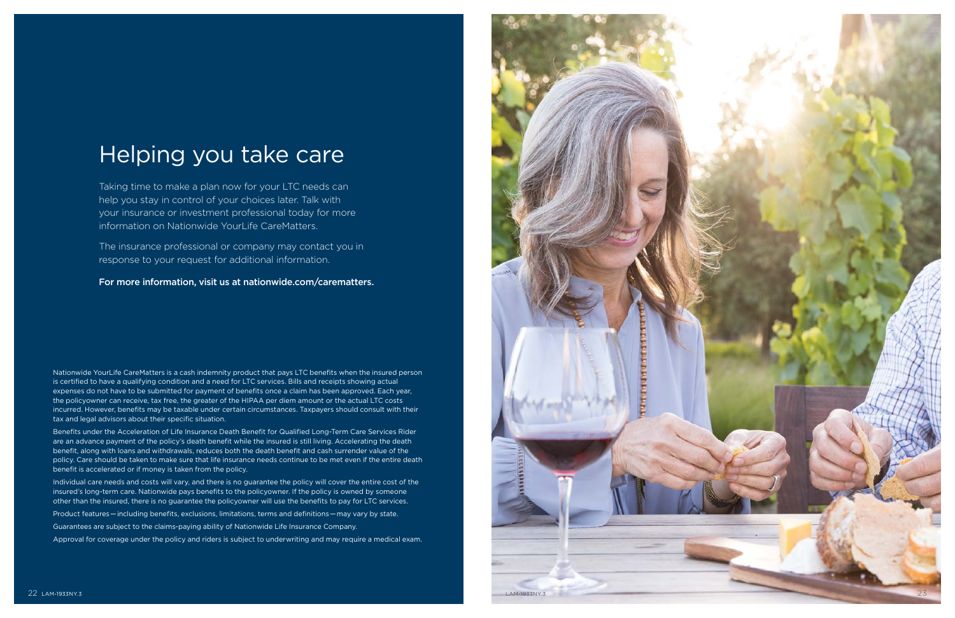## Helping you take care

Taking time to make a plan now for your LTC needs can help you stay in control of your choices later. Talk with your insurance or investment professional today for more information on Nationwide YourLife CareMatters.

The insurance professional or company may contact you in response to your request for additional information.

For more information, visit us at [nationwide.com/carematters](http://nationwide.com/carematters).

Nationwide YourLife CareMatters is a cash indemnity product that pays LTC benefits when the insured person is certified to have a qualifying condition and a need for LTC services. Bills and receipts showing actual expenses do not have to be submitted for payment of benefits once a claim has been approved. Each year, the policyowner can receive, tax free, the greater of the HIPAA per diem amount or the actual LTC costs incurred. However, benefits may be taxable under certain circumstances. Taxpayers should consult with their tax and legal advisors about their specific situation.



Benefits under the Acceleration of Life Insurance Death Benefit for Qualified Long-Term Care Services Rider are an advance payment of the policy's death benefit while the insured is still living. Accelerating the death benefit, along with loans and withdrawals, reduces both the death benefit and cash surrender value of the policy. Care should be taken to make sure that life insurance needs continue to be met even if the entire death benefit is accelerated or if money is taken from the policy.

Individual care needs and costs will vary, and there is no guarantee the policy will cover the entire cost of the insured's long-term care. Nationwide pays benefits to the policyowner. If the policy is owned by someone other than the insured, there is no guarantee the policyowner will use the benefits to pay for LTC services.

Product features — including benefits, exclusions, limitations, terms and definitions — may vary by state.

Guarantees are subject to the claims-paying ability of Nationwide Life Insurance Company.

Approval for coverage under the policy and riders is subject to underwriting and may require a medical exam.